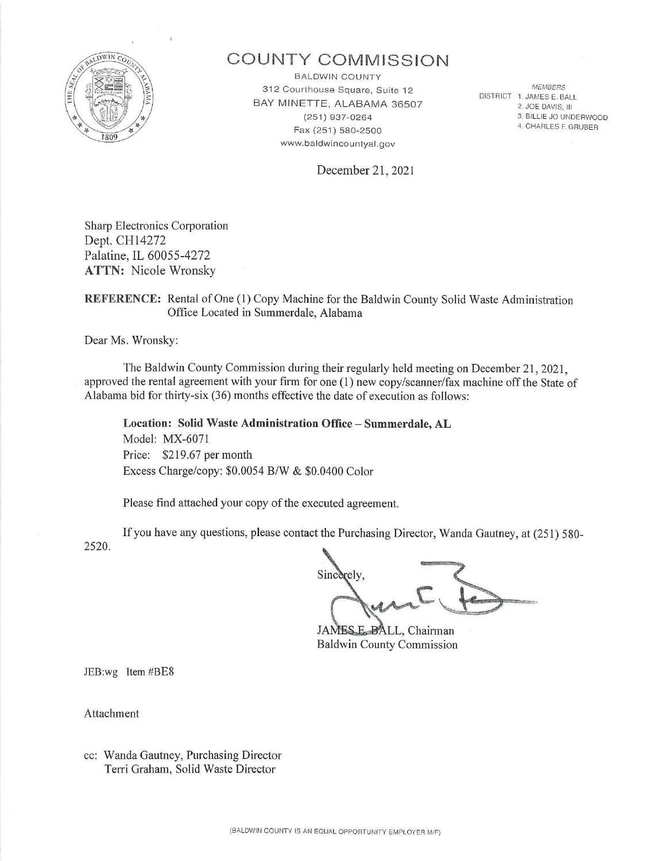

# **COUNTY COMM ISSION**

BALDWIN COUNTY 312 Courthouse Square, Suite 12 BAY MINETTE, ALABAMA 36507 (251) 937-0264 Fax (251) 580-2500 www.baldwincountyal.gov

*MEMBERS*  DISTRICT 1. JAMES E. BALL 2. JOE DAVIS, 111 3. BILLIE JO UNDERWOOD 4. CHARLES F. GRUBER

December 21, 2021

Sharp Electronics Corporation Dept. CHl 4272 Palatine, IL 60055-4272 **ATTN:** Nicole Wronsky

## **REFERENCE:** Rental of One (1) Copy Machine for the Baldwin County Solid Waste Administration Office Located in Summerdale, Alabama

Dear Ms. Wronsky:

The Baldwin County Commission during their regularly held meeting on December 21, 2021 , approved the rental agreement with your firm for one (1) new copy/scanner/fax machine off the State of Alabama bid for thirty-six  $(36)$  months effective the date of execution as follows:

**Location: Solid Waste Administration Office - Summerdale, AL**  Model: MX-6071 Price: \$219.67 per month Excess Charge/copy: \$0.0054 B/W & \$0.0400 Color

Please find attached your copy of the executed agreement.

2520. If you have any questions, please contact the Purchasing Director, Wanda Gautney, at (251) 580-

Sincerely,

JAMES E\_BALL, Chairman Baldwin County Commission

JEB:wg Item #BE8

Attachment

cc: Wanda Gautney, Purchasing Director Terri Graham, Solid Waste Director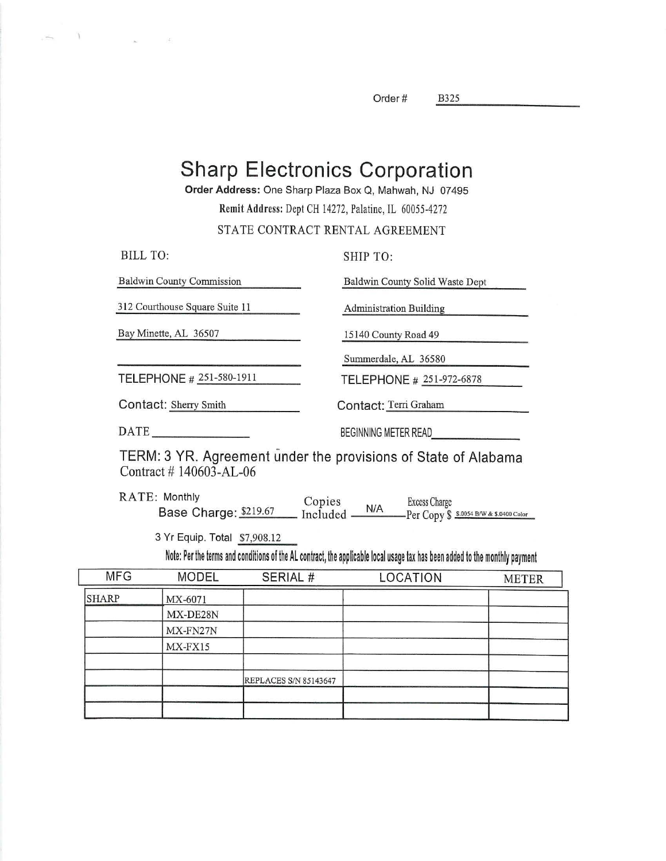Order# B325

B325

# **Sharp Electronics Corporation**

**Order Address:** One Sharp Plaza Box Q, Mahwah, NJ 07495

Remit Address: Dept CH 14272, Palatine, IL 60055-4272

## STATE CONTRACT RENTAL AGREEMENT

| BILL TO:                         | SHIP TO:                        |
|----------------------------------|---------------------------------|
| <b>Baldwin County Commission</b> | Baldwin County Solid Waste Dept |
| 312 Courthouse Square Suite 11   | <b>Administration Building</b>  |
| Bay Minette, AL 36507            | 15140 County Road 49            |
|                                  | Summerdale, AL 36580            |
| TELEPHONE # 251-580-1911         | TELEPHONE # 251-972-6878        |
| Contact: Sherry Smith            | Contact: Terri Graham           |
| DATE                             | BEGINNING METER READ            |
|                                  |                                 |

TERM: 3 YR. Agreement under the provisions of State of Alabama Contract # 140603-AL-06

RA TE: Monthly Monthly Copies Excess Charge Charge:  $\frac{\$219.67}{\$N/A}$  Excess Charge Per Copy \$  $\frac{\$3.0054 B/W & $3.0054 B/W & $3.0400 \text{ Color}}{2.0054 B/W & $3.0400 \text{ Color}}$ 

3 Yr Equip. Total \$7,908.12

 $\gamma$ 

I

Note: Per the terms and conditions of the AL contract, the applicable local usage tax has been added to the monthly payment

| <b>MFG</b>   | <b>MODEL</b> | SERIAL #                     | LOCATION | <b>METER</b> |
|--------------|--------------|------------------------------|----------|--------------|
| <b>SHARP</b> | MX-6071      |                              |          |              |
|              | MX-DE28N     |                              |          |              |
|              | MX-FN27N     |                              |          |              |
|              | MX-FX15      |                              |          |              |
|              |              |                              |          |              |
|              |              | <b>REPLACES S/N 85143647</b> |          |              |
|              |              |                              |          |              |
|              |              |                              |          |              |